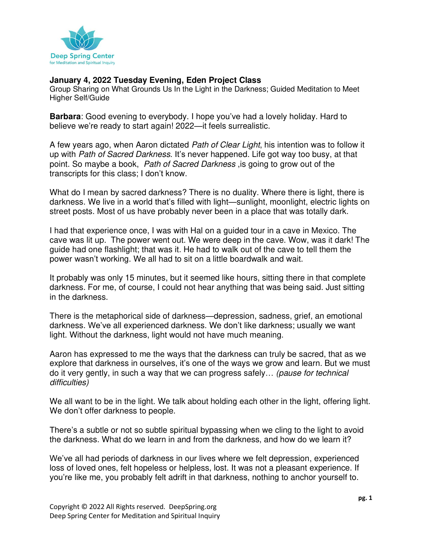

## **January 4, 2022 Tuesday Evening, Eden Project Class**

Group Sharing on What Grounds Us In the Light in the Darkness; Guided Meditation to Meet Higher Self/Guide

**Barbara**: Good evening to everybody. I hope you've had a lovely holiday. Hard to believe we're ready to start again! 2022—it feels surrealistic.

A few years ago, when Aaron dictated Path of Clear Light, his intention was to follow it up with Path of Sacred Darkness. It's never happened. Life got way too busy, at that point. So maybe a book, Path of Sacred Darkness is going to grow out of the transcripts for this class; I don't know.

What do I mean by sacred darkness? There is no duality. Where there is light, there is darkness. We live in a world that's filled with light—sunlight, moonlight, electric lights on street posts. Most of us have probably never been in a place that was totally dark.

I had that experience once, I was with Hal on a guided tour in a cave in Mexico. The cave was lit up. The power went out. We were deep in the cave. Wow, was it dark! The guide had one flashlight; that was it. He had to walk out of the cave to tell them the power wasn't working. We all had to sit on a little boardwalk and wait.

It probably was only 15 minutes, but it seemed like hours, sitting there in that complete darkness. For me, of course, I could not hear anything that was being said. Just sitting in the darkness.

There is the metaphorical side of darkness—depression, sadness, grief, an emotional darkness. We've all experienced darkness. We don't like darkness; usually we want light. Without the darkness, light would not have much meaning.

Aaron has expressed to me the ways that the darkness can truly be sacred, that as we explore that darkness in ourselves, it's one of the ways we grow and learn. But we must do it very gently, in such a way that we can progress safely… (pause for technical difficulties)

We all want to be in the light. We talk about holding each other in the light, offering light. We don't offer darkness to people.

There's a subtle or not so subtle spiritual bypassing when we cling to the light to avoid the darkness. What do we learn in and from the darkness, and how do we learn it?

We've all had periods of darkness in our lives where we felt depression, experienced loss of loved ones, felt hopeless or helpless, lost. It was not a pleasant experience. If you're like me, you probably felt adrift in that darkness, nothing to anchor yourself to.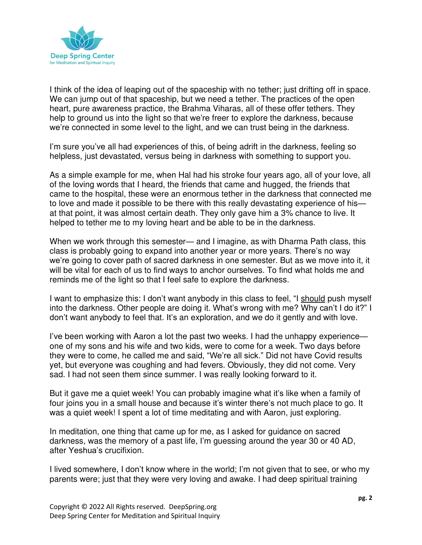

I think of the idea of leaping out of the spaceship with no tether; just drifting off in space. We can jump out of that spaceship, but we need a tether. The practices of the open heart, pure awareness practice, the Brahma Viharas, all of these offer tethers. They help to ground us into the light so that we're freer to explore the darkness, because we're connected in some level to the light, and we can trust being in the darkness.

I'm sure you've all had experiences of this, of being adrift in the darkness, feeling so helpless, just devastated, versus being in darkness with something to support you.

As a simple example for me, when Hal had his stroke four years ago, all of your love, all of the loving words that I heard, the friends that came and hugged, the friends that came to the hospital, these were an enormous tether in the darkness that connected me to love and made it possible to be there with this really devastating experience of his at that point, it was almost certain death. They only gave him a 3% chance to live. It helped to tether me to my loving heart and be able to be in the darkness.

When we work through this semester— and I imagine, as with Dharma Path class, this class is probably going to expand into another year or more years. There's no way we're going to cover path of sacred darkness in one semester. But as we move into it, it will be vital for each of us to find ways to anchor ourselves. To find what holds me and reminds me of the light so that I feel safe to explore the darkness.

I want to emphasize this: I don't want anybody in this class to feel, "I should push myself into the darkness. Other people are doing it. What's wrong with me? Why can't I do it?" I don't want anybody to feel that. It's an exploration, and we do it gently and with love.

I've been working with Aaron a lot the past two weeks. I had the unhappy experience one of my sons and his wife and two kids, were to come for a week. Two days before they were to come, he called me and said, "We're all sick." Did not have Covid results yet, but everyone was coughing and had fevers. Obviously, they did not come. Very sad. I had not seen them since summer. I was really looking forward to it.

But it gave me a quiet week! You can probably imagine what it's like when a family of four joins you in a small house and because it's winter there's not much place to go. It was a quiet week! I spent a lot of time meditating and with Aaron, just exploring.

In meditation, one thing that came up for me, as I asked for guidance on sacred darkness, was the memory of a past life, I'm guessing around the year 30 or 40 AD, after Yeshua's crucifixion.

I lived somewhere, I don't know where in the world; I'm not given that to see, or who my parents were; just that they were very loving and awake. I had deep spiritual training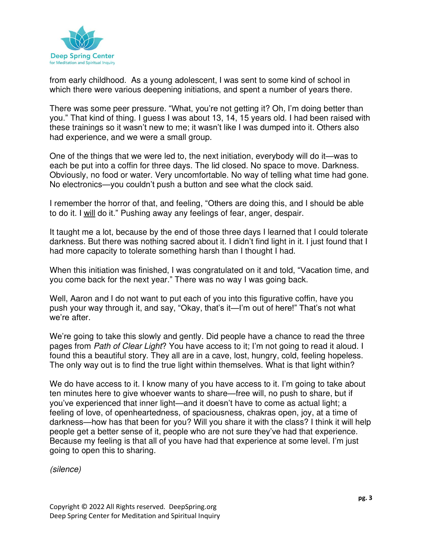

from early childhood. As a young adolescent, I was sent to some kind of school in which there were various deepening initiations, and spent a number of years there.

There was some peer pressure. "What, you're not getting it? Oh, I'm doing better than you." That kind of thing. I guess I was about 13, 14, 15 years old. I had been raised with these trainings so it wasn't new to me; it wasn't like I was dumped into it. Others also had experience, and we were a small group.

One of the things that we were led to, the next initiation, everybody will do it—was to each be put into a coffin for three days. The lid closed. No space to move. Darkness. Obviously, no food or water. Very uncomfortable. No way of telling what time had gone. No electronics—you couldn't push a button and see what the clock said.

I remember the horror of that, and feeling, "Others are doing this, and I should be able to do it. I will do it." Pushing away any feelings of fear, anger, despair.

It taught me a lot, because by the end of those three days I learned that I could tolerate darkness. But there was nothing sacred about it. I didn't find light in it. I just found that I had more capacity to tolerate something harsh than I thought I had.

When this initiation was finished, I was congratulated on it and told, "Vacation time, and you come back for the next year." There was no way I was going back.

Well, Aaron and I do not want to put each of you into this figurative coffin, have you push your way through it, and say, "Okay, that's it—I'm out of here!" That's not what we're after.

We're going to take this slowly and gently. Did people have a chance to read the three pages from Path of Clear Light? You have access to it; I'm not going to read it aloud. I found this a beautiful story. They all are in a cave, lost, hungry, cold, feeling hopeless. The only way out is to find the true light within themselves. What is that light within?

We do have access to it. I know many of you have access to it. I'm going to take about ten minutes here to give whoever wants to share—free will, no push to share, but if you've experienced that inner light—and it doesn't have to come as actual light; a feeling of love, of openheartedness, of spaciousness, chakras open, joy, at a time of darkness—how has that been for you? Will you share it with the class? I think it will help people get a better sense of it, people who are not sure they've had that experience. Because my feeling is that all of you have had that experience at some level. I'm just going to open this to sharing.

(silence)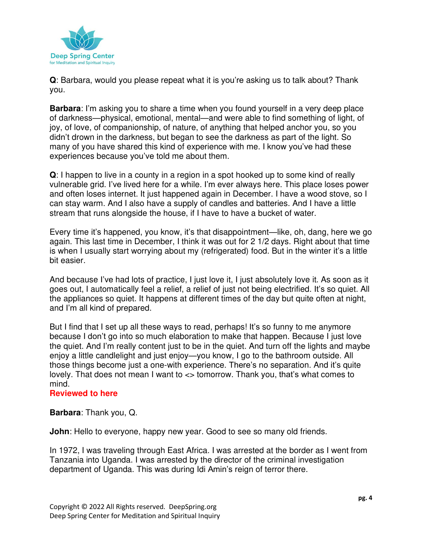

**Q**: Barbara, would you please repeat what it is you're asking us to talk about? Thank you.

**Barbara**: I'm asking you to share a time when you found yourself in a very deep place of darkness—physical, emotional, mental—and were able to find something of light, of joy, of love, of companionship, of nature, of anything that helped anchor you, so you didn't drown in the darkness, but began to see the darkness as part of the light. So many of you have shared this kind of experience with me. I know you've had these experiences because you've told me about them.

**Q**: I happen to live in a county in a region in a spot hooked up to some kind of really vulnerable grid. I've lived here for a while. I'm ever always here. This place loses power and often loses internet. It just happened again in December. I have a wood stove, so I can stay warm. And I also have a supply of candles and batteries. And I have a little stream that runs alongside the house, if I have to have a bucket of water.

Every time it's happened, you know, it's that disappointment—like, oh, dang, here we go again. This last time in December, I think it was out for 2 1/2 days. Right about that time is when I usually start worrying about my (refrigerated) food. But in the winter it's a little bit easier.

And because I've had lots of practice, I just love it, I just absolutely love it. As soon as it goes out, I automatically feel a relief, a relief of just not being electrified. It's so quiet. All the appliances so quiet. It happens at different times of the day but quite often at night, and I'm all kind of prepared.

But I find that I set up all these ways to read, perhaps! It's so funny to me anymore because I don't go into so much elaboration to make that happen. Because I just love the quiet. And I'm really content just to be in the quiet. And turn off the lights and maybe enjoy a little candlelight and just enjoy—you know, I go to the bathroom outside. All those things become just a one-with experience. There's no separation. And it's quite lovely. That does not mean I want to <> tomorrow. Thank you, that's what comes to mind.

## **Reviewed to here**

**Barbara**: Thank you, Q.

**John**: Hello to everyone, happy new year. Good to see so many old friends.

In 1972, I was traveling through East Africa. I was arrested at the border as I went from Tanzania into Uganda. I was arrested by the director of the criminal investigation department of Uganda. This was during Idi Amin's reign of terror there.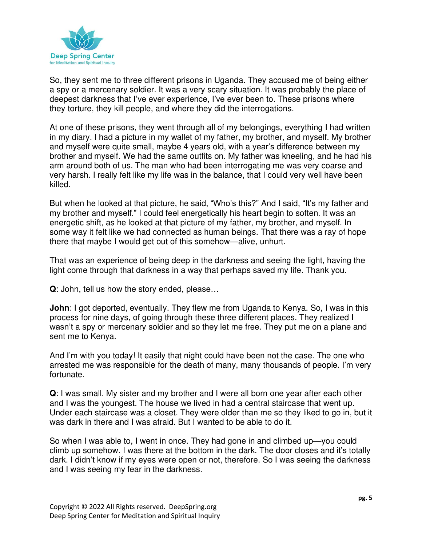

So, they sent me to three different prisons in Uganda. They accused me of being either a spy or a mercenary soldier. It was a very scary situation. It was probably the place of deepest darkness that I've ever experience, I've ever been to. These prisons where they torture, they kill people, and where they did the interrogations.

At one of these prisons, they went through all of my belongings, everything I had written in my diary. I had a picture in my wallet of my father, my brother, and myself. My brother and myself were quite small, maybe 4 years old, with a year's difference between my brother and myself. We had the same outfits on. My father was kneeling, and he had his arm around both of us. The man who had been interrogating me was very coarse and very harsh. I really felt like my life was in the balance, that I could very well have been killed.

But when he looked at that picture, he said, "Who's this?" And I said, "It's my father and my brother and myself." I could feel energetically his heart begin to soften. It was an energetic shift, as he looked at that picture of my father, my brother, and myself. In some way it felt like we had connected as human beings. That there was a ray of hope there that maybe I would get out of this somehow—alive, unhurt.

That was an experience of being deep in the darkness and seeing the light, having the light come through that darkness in a way that perhaps saved my life. Thank you.

**Q**: John, tell us how the story ended, please…

**John**: I got deported, eventually. They flew me from Uganda to Kenya. So, I was in this process for nine days, of going through these three different places. They realized I wasn't a spy or mercenary soldier and so they let me free. They put me on a plane and sent me to Kenya.

And I'm with you today! It easily that night could have been not the case. The one who arrested me was responsible for the death of many, many thousands of people. I'm very fortunate.

**Q**: I was small. My sister and my brother and I were all born one year after each other and I was the youngest. The house we lived in had a central staircase that went up. Under each staircase was a closet. They were older than me so they liked to go in, but it was dark in there and I was afraid. But I wanted to be able to do it.

So when I was able to, I went in once. They had gone in and climbed up—you could climb up somehow. I was there at the bottom in the dark. The door closes and it's totally dark. I didn't know if my eyes were open or not, therefore. So I was seeing the darkness and I was seeing my fear in the darkness.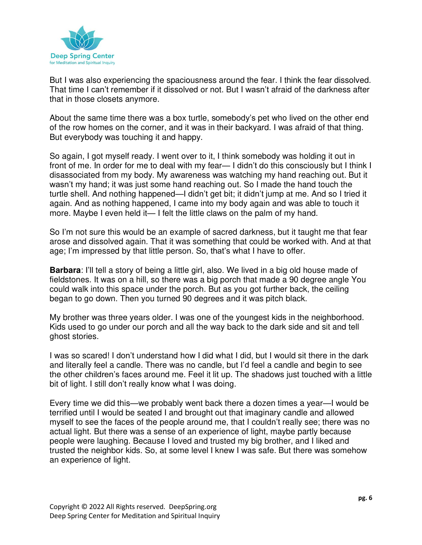

But I was also experiencing the spaciousness around the fear. I think the fear dissolved. That time I can't remember if it dissolved or not. But I wasn't afraid of the darkness after that in those closets anymore.

About the same time there was a box turtle, somebody's pet who lived on the other end of the row homes on the corner, and it was in their backyard. I was afraid of that thing. But everybody was touching it and happy.

So again, I got myself ready. I went over to it, I think somebody was holding it out in front of me. In order for me to deal with my fear— I didn't do this consciously but I think I disassociated from my body. My awareness was watching my hand reaching out. But it wasn't my hand; it was just some hand reaching out. So I made the hand touch the turtle shell. And nothing happened—I didn't get bit; it didn't jump at me. And so I tried it again. And as nothing happened, I came into my body again and was able to touch it more. Maybe I even held it— I felt the little claws on the palm of my hand.

So I'm not sure this would be an example of sacred darkness, but it taught me that fear arose and dissolved again. That it was something that could be worked with. And at that age; I'm impressed by that little person. So, that's what I have to offer.

**Barbara**: I'll tell a story of being a little girl, also. We lived in a big old house made of fieldstones. It was on a hill, so there was a big porch that made a 90 degree angle You could walk into this space under the porch. But as you got further back, the ceiling began to go down. Then you turned 90 degrees and it was pitch black.

My brother was three years older. I was one of the youngest kids in the neighborhood. Kids used to go under our porch and all the way back to the dark side and sit and tell ghost stories.

I was so scared! I don't understand how I did what I did, but I would sit there in the dark and literally feel a candle. There was no candle, but I'd feel a candle and begin to see the other children's faces around me. Feel it lit up. The shadows just touched with a little bit of light. I still don't really know what I was doing.

Every time we did this—we probably went back there a dozen times a year—I would be terrified until I would be seated I and brought out that imaginary candle and allowed myself to see the faces of the people around me, that I couldn't really see; there was no actual light. But there was a sense of an experience of light, maybe partly because people were laughing. Because I loved and trusted my big brother, and I liked and trusted the neighbor kids. So, at some level I knew I was safe. But there was somehow an experience of light.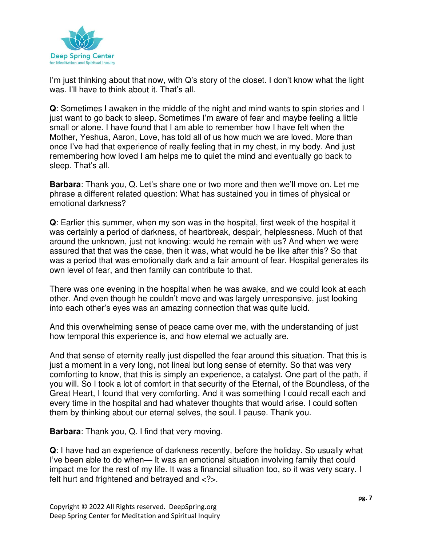

I'm just thinking about that now, with Q's story of the closet. I don't know what the light was. I'll have to think about it. That's all.

**Q**: Sometimes I awaken in the middle of the night and mind wants to spin stories and I just want to go back to sleep. Sometimes I'm aware of fear and maybe feeling a little small or alone. I have found that I am able to remember how I have felt when the Mother, Yeshua, Aaron, Love, has told all of us how much we are loved. More than once I've had that experience of really feeling that in my chest, in my body. And just remembering how loved I am helps me to quiet the mind and eventually go back to sleep. That's all.

**Barbara**: Thank you, Q. Let's share one or two more and then we'll move on. Let me phrase a different related question: What has sustained you in times of physical or emotional darkness?

**Q**: Earlier this summer, when my son was in the hospital, first week of the hospital it was certainly a period of darkness, of heartbreak, despair, helplessness. Much of that around the unknown, just not knowing: would he remain with us? And when we were assured that that was the case, then it was, what would he be like after this? So that was a period that was emotionally dark and a fair amount of fear. Hospital generates its own level of fear, and then family can contribute to that.

There was one evening in the hospital when he was awake, and we could look at each other. And even though he couldn't move and was largely unresponsive, just looking into each other's eyes was an amazing connection that was quite lucid.

And this overwhelming sense of peace came over me, with the understanding of just how temporal this experience is, and how eternal we actually are.

And that sense of eternity really just dispelled the fear around this situation. That this is just a moment in a very long, not lineal but long sense of eternity. So that was very comforting to know, that this is simply an experience, a catalyst. One part of the path, if you will. So I took a lot of comfort in that security of the Eternal, of the Boundless, of the Great Heart, I found that very comforting. And it was something I could recall each and every time in the hospital and had whatever thoughts that would arise. I could soften them by thinking about our eternal selves, the soul. I pause. Thank you.

**Barbara**: Thank you, Q. I find that very moving.

**Q**: I have had an experience of darkness recently, before the holiday. So usually what I've been able to do when— It was an emotional situation involving family that could impact me for the rest of my life. It was a financial situation too, so it was very scary. I felt hurt and frightened and betrayed and <?>.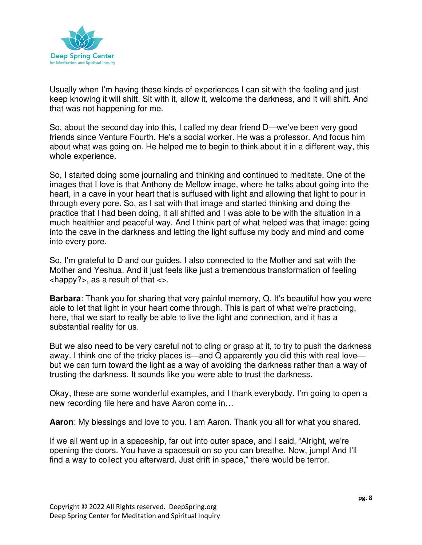

Usually when I'm having these kinds of experiences I can sit with the feeling and just keep knowing it will shift. Sit with it, allow it, welcome the darkness, and it will shift. And that was not happening for me.

So, about the second day into this, I called my dear friend D—we've been very good friends since Venture Fourth. He's a social worker. He was a professor. And focus him about what was going on. He helped me to begin to think about it in a different way, this whole experience.

So, I started doing some journaling and thinking and continued to meditate. One of the images that I love is that Anthony de Mellow image, where he talks about going into the heart, in a cave in your heart that is suffused with light and allowing that light to pour in through every pore. So, as I sat with that image and started thinking and doing the practice that I had been doing, it all shifted and I was able to be with the situation in a much healthier and peaceful way. And I think part of what helped was that image: going into the cave in the darkness and letting the light suffuse my body and mind and come into every pore.

So, I'm grateful to D and our guides. I also connected to the Mother and sat with the Mother and Yeshua. And it just feels like just a tremendous transformation of feeling  $\langle$ happy?>, as a result of that  $\langle \rangle$ .

**Barbara**: Thank you for sharing that very painful memory, Q. It's beautiful how you were able to let that light in your heart come through. This is part of what we're practicing, here, that we start to really be able to live the light and connection, and it has a substantial reality for us.

But we also need to be very careful not to cling or grasp at it, to try to push the darkness away. I think one of the tricky places is—and Q apparently you did this with real love but we can turn toward the light as a way of avoiding the darkness rather than a way of trusting the darkness. It sounds like you were able to trust the darkness.

Okay, these are some wonderful examples, and I thank everybody. I'm going to open a new recording file here and have Aaron come in…

**Aaron**: My blessings and love to you. I am Aaron. Thank you all for what you shared.

If we all went up in a spaceship, far out into outer space, and I said, "Alright, we're opening the doors. You have a spacesuit on so you can breathe. Now, jump! And I'll find a way to collect you afterward. Just drift in space," there would be terror.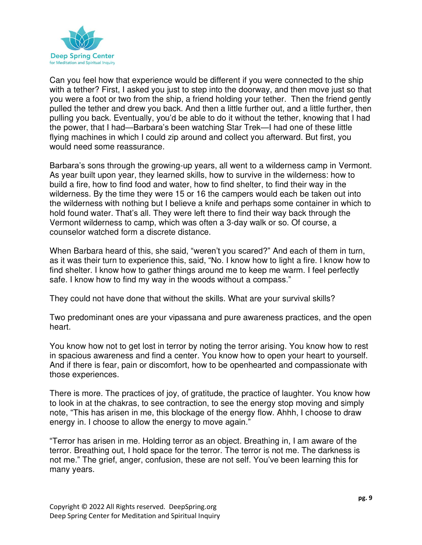

Can you feel how that experience would be different if you were connected to the ship with a tether? First, I asked you just to step into the doorway, and then move just so that you were a foot or two from the ship, a friend holding your tether. Then the friend gently pulled the tether and drew you back. And then a little further out, and a little further, then pulling you back. Eventually, you'd be able to do it without the tether, knowing that I had the power, that I had—Barbara's been watching Star Trek—I had one of these little flying machines in which I could zip around and collect you afterward. But first, you would need some reassurance.

Barbara's sons through the growing-up years, all went to a wilderness camp in Vermont. As year built upon year, they learned skills, how to survive in the wilderness: how to build a fire, how to find food and water, how to find shelter, to find their way in the wilderness. By the time they were 15 or 16 the campers would each be taken out into the wilderness with nothing but I believe a knife and perhaps some container in which to hold found water. That's all. They were left there to find their way back through the Vermont wilderness to camp, which was often a 3-day walk or so. Of course, a counselor watched form a discrete distance.

When Barbara heard of this, she said, "weren't you scared?" And each of them in turn, as it was their turn to experience this, said, "No. I know how to light a fire. I know how to find shelter. I know how to gather things around me to keep me warm. I feel perfectly safe. I know how to find my way in the woods without a compass."

They could not have done that without the skills. What are your survival skills?

Two predominant ones are your vipassana and pure awareness practices, and the open heart.

You know how not to get lost in terror by noting the terror arising. You know how to rest in spacious awareness and find a center. You know how to open your heart to yourself. And if there is fear, pain or discomfort, how to be openhearted and compassionate with those experiences.

There is more. The practices of joy, of gratitude, the practice of laughter. You know how to look in at the chakras, to see contraction, to see the energy stop moving and simply note, "This has arisen in me, this blockage of the energy flow. Ahhh, I choose to draw energy in. I choose to allow the energy to move again."

"Terror has arisen in me. Holding terror as an object. Breathing in, I am aware of the terror. Breathing out, I hold space for the terror. The terror is not me. The darkness is not me." The grief, anger, confusion, these are not self. You've been learning this for many years.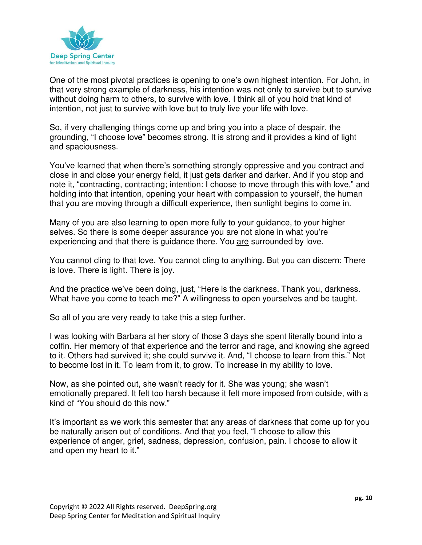

One of the most pivotal practices is opening to one's own highest intention. For John, in that very strong example of darkness, his intention was not only to survive but to survive without doing harm to others, to survive with love. I think all of you hold that kind of intention, not just to survive with love but to truly live your life with love.

So, if very challenging things come up and bring you into a place of despair, the grounding, "I choose love" becomes strong. It is strong and it provides a kind of light and spaciousness.

You've learned that when there's something strongly oppressive and you contract and close in and close your energy field, it just gets darker and darker. And if you stop and note it, "contracting, contracting; intention: I choose to move through this with love," and holding into that intention, opening your heart with compassion to yourself, the human that you are moving through a difficult experience, then sunlight begins to come in.

Many of you are also learning to open more fully to your guidance, to your higher selves. So there is some deeper assurance you are not alone in what you're experiencing and that there is guidance there. You are surrounded by love.

You cannot cling to that love. You cannot cling to anything. But you can discern: There is love. There is light. There is joy.

And the practice we've been doing, just, "Here is the darkness. Thank you, darkness. What have you come to teach me?" A willingness to open yourselves and be taught.

So all of you are very ready to take this a step further.

I was looking with Barbara at her story of those 3 days she spent literally bound into a coffin. Her memory of that experience and the terror and rage, and knowing she agreed to it. Others had survived it; she could survive it. And, "I choose to learn from this." Not to become lost in it. To learn from it, to grow. To increase in my ability to love.

Now, as she pointed out, she wasn't ready for it. She was young; she wasn't emotionally prepared. It felt too harsh because it felt more imposed from outside, with a kind of "You should do this now."

It's important as we work this semester that any areas of darkness that come up for you be naturally arisen out of conditions. And that you feel, "I choose to allow this experience of anger, grief, sadness, depression, confusion, pain. I choose to allow it and open my heart to it."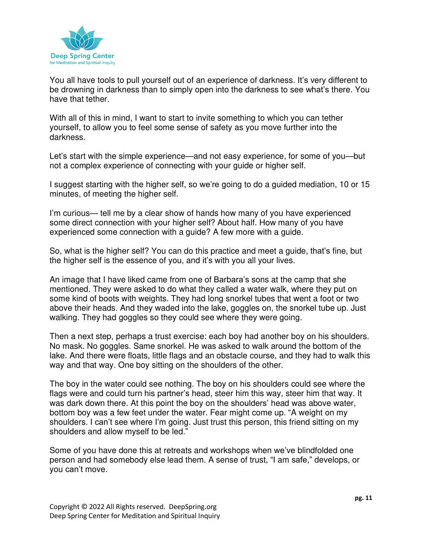

You all have tools to pull yourself out of an experience of darkness. It's very different to be drowning in darkness than to simply open into the darkness to see what's there. You have that tether.

With all of this in mind, I want to start to invite something to which you can tether yourself, to allow you to feel some sense of safety as you move further into the darkness.

Let's start with the simple experience—and not easy experience, for some of you—but not a complex experience of connecting with your guide or higher self.

I suggest starting with the higher self, so we're going to do a guided mediation, 10 or 15 minutes, of meeting the higher self.

I'm curious— tell me by a clear show of hands how many of you have experienced some direct connection with your higher self? About half. How many of you have experienced some connection with a guide? A few more with a guide.

So, what is the higher self? You can do this practice and meet a guide, that's fine, but the higher self is the essence of you, and it's with you all your lives.

An image that I have liked came from one of Barbara's sons at the camp that she mentioned. They were asked to do what they called a water walk, where they put on some kind of boots with weights. They had long snorkel tubes that went a foot or two above their heads. And they waded into the lake, goggles on, the snorkel tube up. Just walking. They had goggles so they could see where they were going.

Then a next step, perhaps a trust exercise: each boy had another boy on his shoulders. No mask. No goggles. Same snorkel. He was asked to walk around the bottom of the lake. And there were floats, little flags and an obstacle course, and they had to walk this way and that way. One boy sitting on the shoulders of the other.

The boy in the water could see nothing. The boy on his shoulders could see where the flags were and could turn his partner's head, steer him this way, steer him that way. It was dark down there. At this point the boy on the shoulders' head was above water, bottom boy was a few feet under the water. Fear might come up. "A weight on my shoulders. I can't see where I'm going. Just trust this person, this friend sitting on my shoulders and allow myself to be led."

Some of you have done this at retreats and workshops when we've blindfolded one person and had somebody else lead them. A sense of trust, "I am safe," develops, or you can't move.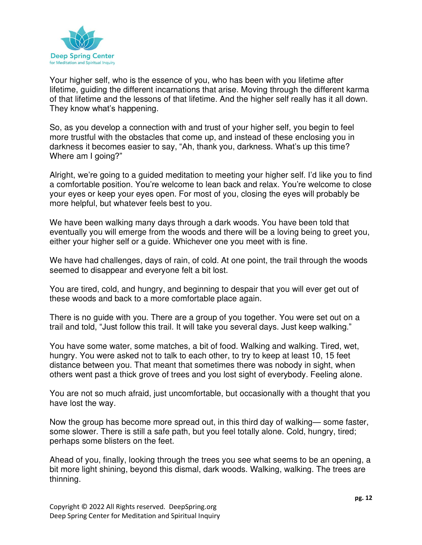

Your higher self, who is the essence of you, who has been with you lifetime after lifetime, guiding the different incarnations that arise. Moving through the different karma of that lifetime and the lessons of that lifetime. And the higher self really has it all down. They know what's happening.

So, as you develop a connection with and trust of your higher self, you begin to feel more trustful with the obstacles that come up, and instead of these enclosing you in darkness it becomes easier to say, "Ah, thank you, darkness. What's up this time? Where am I going?"

Alright, we're going to a guided meditation to meeting your higher self. I'd like you to find a comfortable position. You're welcome to lean back and relax. You're welcome to close your eyes or keep your eyes open. For most of you, closing the eyes will probably be more helpful, but whatever feels best to you.

We have been walking many days through a dark woods. You have been told that eventually you will emerge from the woods and there will be a loving being to greet you, either your higher self or a guide. Whichever one you meet with is fine.

We have had challenges, days of rain, of cold. At one point, the trail through the woods seemed to disappear and everyone felt a bit lost.

You are tired, cold, and hungry, and beginning to despair that you will ever get out of these woods and back to a more comfortable place again.

There is no guide with you. There are a group of you together. You were set out on a trail and told, "Just follow this trail. It will take you several days. Just keep walking."

You have some water, some matches, a bit of food. Walking and walking. Tired, wet, hungry. You were asked not to talk to each other, to try to keep at least 10, 15 feet distance between you. That meant that sometimes there was nobody in sight, when others went past a thick grove of trees and you lost sight of everybody. Feeling alone.

You are not so much afraid, just uncomfortable, but occasionally with a thought that you have lost the way.

Now the group has become more spread out, in this third day of walking— some faster, some slower. There is still a safe path, but you feel totally alone. Cold, hungry, tired; perhaps some blisters on the feet.

Ahead of you, finally, looking through the trees you see what seems to be an opening, a bit more light shining, beyond this dismal, dark woods. Walking, walking. The trees are thinning.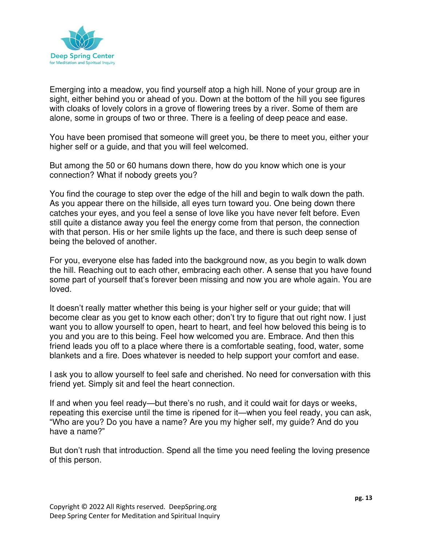

Emerging into a meadow, you find yourself atop a high hill. None of your group are in sight, either behind you or ahead of you. Down at the bottom of the hill you see figures with cloaks of lovely colors in a grove of flowering trees by a river. Some of them are alone, some in groups of two or three. There is a feeling of deep peace and ease.

You have been promised that someone will greet you, be there to meet you, either your higher self or a guide, and that you will feel welcomed.

But among the 50 or 60 humans down there, how do you know which one is your connection? What if nobody greets you?

You find the courage to step over the edge of the hill and begin to walk down the path. As you appear there on the hillside, all eyes turn toward you. One being down there catches your eyes, and you feel a sense of love like you have never felt before. Even still quite a distance away you feel the energy come from that person, the connection with that person. His or her smile lights up the face, and there is such deep sense of being the beloved of another.

For you, everyone else has faded into the background now, as you begin to walk down the hill. Reaching out to each other, embracing each other. A sense that you have found some part of yourself that's forever been missing and now you are whole again. You are loved.

It doesn't really matter whether this being is your higher self or your guide; that will become clear as you get to know each other; don't try to figure that out right now. I just want you to allow yourself to open, heart to heart, and feel how beloved this being is to you and you are to this being. Feel how welcomed you are. Embrace. And then this friend leads you off to a place where there is a comfortable seating, food, water, some blankets and a fire. Does whatever is needed to help support your comfort and ease.

I ask you to allow yourself to feel safe and cherished. No need for conversation with this friend yet. Simply sit and feel the heart connection.

If and when you feel ready—but there's no rush, and it could wait for days or weeks, repeating this exercise until the time is ripened for it—when you feel ready, you can ask, "Who are you? Do you have a name? Are you my higher self, my guide? And do you have a name?"

But don't rush that introduction. Spend all the time you need feeling the loving presence of this person.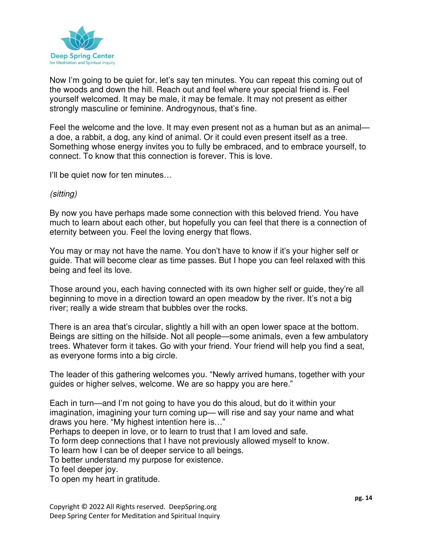

Now I'm going to be quiet for, let's say ten minutes. You can repeat this coming out of the woods and down the hill. Reach out and feel where your special friend is. Feel yourself welcomed. It may be male, it may be female. It may not present as either strongly masculine or feminine. Androgynous, that's fine.

Feel the welcome and the love. It may even present not as a human but as an animal a doe, a rabbit, a dog, any kind of animal. Or it could even present itself as a tree. Something whose energy invites you to fully be embraced, and to embrace yourself, to connect. To know that this connection is forever. This is love.

I'll be quiet now for ten minutes…

## (sitting)

By now you have perhaps made some connection with this beloved friend. You have much to learn about each other, but hopefully you can feel that there is a connection of eternity between you. Feel the loving energy that flows.

You may or may not have the name. You don't have to know if it's your higher self or guide. That will become clear as time passes. But I hope you can feel relaxed with this being and feel its love.

Those around you, each having connected with its own higher self or guide, they're all beginning to move in a direction toward an open meadow by the river. It's not a big river; really a wide stream that bubbles over the rocks.

There is an area that's circular, slightly a hill with an open lower space at the bottom. Beings are sitting on the hillside. Not all people—some animals, even a few ambulatory trees. Whatever form it takes. Go with your friend. Your friend will help you find a seat, as everyone forms into a big circle.

The leader of this gathering welcomes you. "Newly arrived humans, together with your guides or higher selves, welcome. We are so happy you are here."

Each in turn—and I'm not going to have you do this aloud, but do it within your imagination, imagining your turn coming up— will rise and say your name and what draws you here. "My highest intention here is…"

Perhaps to deepen in love, or to learn to trust that I am loved and safe.

To form deep connections that I have not previously allowed myself to know.

To learn how I can be of deeper service to all beings.

To better understand my purpose for existence.

To feel deeper joy.

To open my heart in gratitude.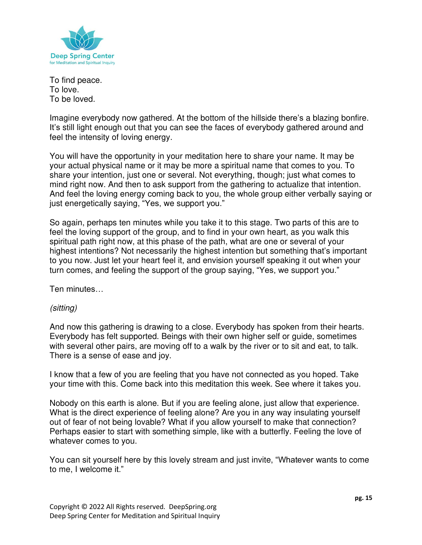

To find peace. To love. To be loved.

Imagine everybody now gathered. At the bottom of the hillside there's a blazing bonfire. It's still light enough out that you can see the faces of everybody gathered around and feel the intensity of loving energy.

You will have the opportunity in your meditation here to share your name. It may be your actual physical name or it may be more a spiritual name that comes to you. To share your intention, just one or several. Not everything, though; just what comes to mind right now. And then to ask support from the gathering to actualize that intention. And feel the loving energy coming back to you, the whole group either verbally saying or just energetically saying, "Yes, we support you."

So again, perhaps ten minutes while you take it to this stage. Two parts of this are to feel the loving support of the group, and to find in your own heart, as you walk this spiritual path right now, at this phase of the path, what are one or several of your highest intentions? Not necessarily the highest intention but something that's important to you now. Just let your heart feel it, and envision yourself speaking it out when your turn comes, and feeling the support of the group saying, "Yes, we support you."

Ten minutes…

## (sitting)

And now this gathering is drawing to a close. Everybody has spoken from their hearts. Everybody has felt supported. Beings with their own higher self or guide, sometimes with several other pairs, are moving off to a walk by the river or to sit and eat, to talk. There is a sense of ease and joy.

I know that a few of you are feeling that you have not connected as you hoped. Take your time with this. Come back into this meditation this week. See where it takes you.

Nobody on this earth is alone. But if you are feeling alone, just allow that experience. What is the direct experience of feeling alone? Are you in any way insulating yourself out of fear of not being lovable? What if you allow yourself to make that connection? Perhaps easier to start with something simple, like with a butterfly. Feeling the love of whatever comes to you.

You can sit yourself here by this lovely stream and just invite, "Whatever wants to come to me, I welcome it."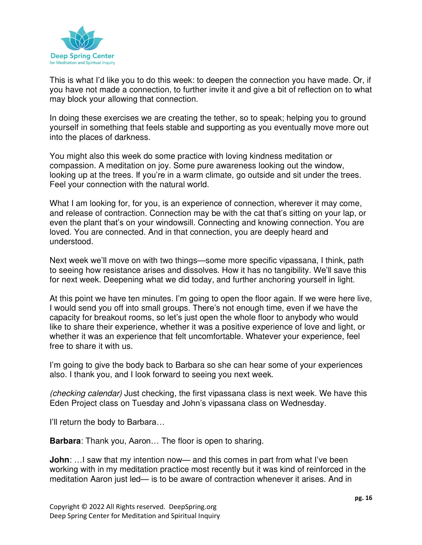

This is what I'd like you to do this week: to deepen the connection you have made. Or, if you have not made a connection, to further invite it and give a bit of reflection on to what may block your allowing that connection.

In doing these exercises we are creating the tether, so to speak; helping you to ground yourself in something that feels stable and supporting as you eventually move more out into the places of darkness.

You might also this week do some practice with loving kindness meditation or compassion. A meditation on joy. Some pure awareness looking out the window, looking up at the trees. If you're in a warm climate, go outside and sit under the trees. Feel your connection with the natural world.

What I am looking for, for you, is an experience of connection, wherever it may come, and release of contraction. Connection may be with the cat that's sitting on your lap, or even the plant that's on your windowsill. Connecting and knowing connection. You are loved. You are connected. And in that connection, you are deeply heard and understood.

Next week we'll move on with two things—some more specific vipassana, I think, path to seeing how resistance arises and dissolves. How it has no tangibility. We'll save this for next week. Deepening what we did today, and further anchoring yourself in light.

At this point we have ten minutes. I'm going to open the floor again. If we were here live, I would send you off into small groups. There's not enough time, even if we have the capacity for breakout rooms, so let's just open the whole floor to anybody who would like to share their experience, whether it was a positive experience of love and light, or whether it was an experience that felt uncomfortable. Whatever your experience, feel free to share it with us.

I'm going to give the body back to Barbara so she can hear some of your experiences also. I thank you, and I look forward to seeing you next week.

(checking calendar) Just checking, the first vipassana class is next week. We have this Eden Project class on Tuesday and John's vipassana class on Wednesday.

I'll return the body to Barbara…

**Barbara**: Thank you, Aaron… The floor is open to sharing.

**John**: ... I saw that my intention now— and this comes in part from what I've been working with in my meditation practice most recently but it was kind of reinforced in the meditation Aaron just led— is to be aware of contraction whenever it arises. And in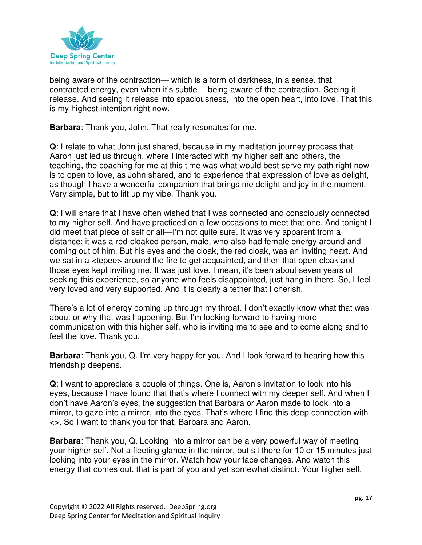

being aware of the contraction— which is a form of darkness, in a sense, that contracted energy, even when it's subtle— being aware of the contraction. Seeing it release. And seeing it release into spaciousness, into the open heart, into love. That this is my highest intention right now.

**Barbara**: Thank you, John. That really resonates for me.

**Q**: I relate to what John just shared, because in my meditation journey process that Aaron just led us through, where I interacted with my higher self and others, the teaching, the coaching for me at this time was what would best serve my path right now is to open to love, as John shared, and to experience that expression of love as delight, as though I have a wonderful companion that brings me delight and joy in the moment. Very simple, but to lift up my vibe. Thank you.

**Q**: I will share that I have often wished that I was connected and consciously connected to my higher self. And have practiced on a few occasions to meet that one. And tonight I did meet that piece of self or all—I'm not quite sure. It was very apparent from a distance; it was a red-cloaked person, male, who also had female energy around and coming out of him. But his eyes and the cloak, the red cloak, was an inviting heart. And we sat in a <tepee> around the fire to get acquainted, and then that open cloak and those eyes kept inviting me. It was just love. I mean, it's been about seven years of seeking this experience, so anyone who feels disappointed, just hang in there. So, I feel very loved and very supported. And it is clearly a tether that I cherish.

There's a lot of energy coming up through my throat. I don't exactly know what that was about or why that was happening. But I'm looking forward to having more communication with this higher self, who is inviting me to see and to come along and to feel the love. Thank you.

**Barbara**: Thank you, Q. I'm very happy for you. And I look forward to hearing how this friendship deepens.

**Q**: I want to appreciate a couple of things. One is, Aaron's invitation to look into his eyes, because I have found that that's where I connect with my deeper self. And when I don't have Aaron's eyes, the suggestion that Barbara or Aaron made to look into a mirror, to gaze into a mirror, into the eyes. That's where I find this deep connection with <>. So I want to thank you for that, Barbara and Aaron.

**Barbara**: Thank you, Q. Looking into a mirror can be a very powerful way of meeting your higher self. Not a fleeting glance in the mirror, but sit there for 10 or 15 minutes just looking into your eyes in the mirror. Watch how your face changes. And watch this energy that comes out, that is part of you and yet somewhat distinct. Your higher self.